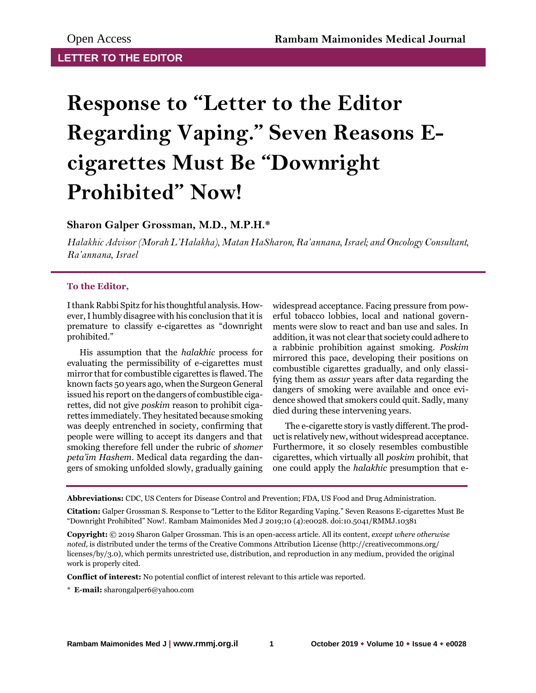## **Response to "Letter to the Editor Regarding Vaping." Seven Reasons Ecigarettes Must Be "Downright Prohibited" Now!**

## **Sharon Galper Grossman, M.D., M.P.H.\***

*Halakhic Advisor (Morah L'Halakha), Matan HaSharon, Ra'annana, Israel; and Oncology Consultant, Ra'annana, Israel*

## **To the Editor,**

I thank Rabbi Spitz for his thoughtful analysis. However, I humbly disagree with his conclusion that it is premature to classify e-cigarettes as "downright prohibited."

His assumption that the *halakhic* process for evaluating the permissibility of e-cigarettes must mirror that for combustible cigarettes is flawed. The known facts 50 years ago, when the Surgeon General issued his report on the dangers of combustible cigarettes, did not give *poskim* reason to prohibit cigarettes immediately. They hesitated because smoking was deeply entrenched in society, confirming that people were willing to accept its dangers and that smoking therefore fell under the rubric of *shomer peta'im Hashem*. Medical data regarding the dangers of smoking unfolded slowly, gradually gaining

widespread acceptance. Facing pressure from powerful tobacco lobbies, local and national governments were slow to react and ban use and sales. In addition, it was not clear that society could adhere to a rabbinic prohibition against smoking. *Poskim* mirrored this pace, developing their positions on combustible cigarettes gradually, and only classifying them as *assur* years after data regarding the dangers of smoking were available and once evidence showed that smokers could quit. Sadly, many died during these intervening years.

The e-cigarette story is vastly different. The product is relatively new, without widespread acceptance. Furthermore, it so closely resembles combustible cigarettes, which virtually all *poskim* prohibit, that one could apply the *halakhic* presumption that e-

**Abbreviations:** CDC, US Centers for Disease Control and Prevention; FDA, US Food and Drug Administration.

**Citation:** Galper Grossman S. Response to "Letter to the Editor Regarding Vaping." Seven Reasons E-cigarettes Must Be "Downright Prohibited" Now!. Rambam Maimonides Med J 2019;10 (4):e0028. doi:10.5041/RMMJ.10381

**Copyright:** © 2019 Sharon Galper Grossman. This is an open-access article. All its content, *except where otherwise noted*, is distributed under the terms of the Creative Commons Attribution License (http://creativecommons.org/ licenses/by/3.0), which permits unrestricted use, distribution, and reproduction in any medium, provided the original work is properly cited.

**Conflict of interest:** No potential conflict of interest relevant to this article was reported.

\* **E-mail:** sharongalper6@yahoo.com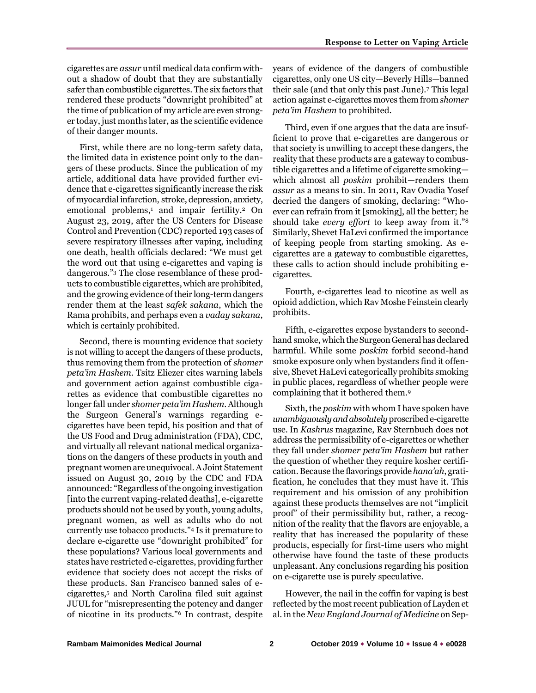cigarettes are *assur* until medical data confirm without a shadow of doubt that they are substantially safer than combustible cigarettes. The six factors that rendered these products "downright prohibited" at the time of publication of my article are even stronger today, just months later, as the scientific evidence of their danger mounts.

First, while there are no long-term safety data, the limited data in existence point only to the dangers of these products. Since the publication of my article, additional data have provided further evidence that e-cigarettes significantly increase the risk of myocardial infarction, stroke, depression, anxiety, emotional problems,<sup>1</sup> and impair fertility.<sup>2</sup> On August 23, 2019, after the US Centers for Disease Control and Prevention (CDC) reported 193 cases of severe respiratory illnesses after vaping, including one death, health officials declared: "We must get the word out that using e-cigarettes and vaping is dangerous."<sup>3</sup> The close resemblance of these products to combustible cigarettes, which are prohibited, and the growing evidence of their long-term dangers render them at the least *safek sakana*, which the Rama prohibits, and perhaps even a *vaday sakana*, which is certainly prohibited.

Second, there is mounting evidence that society is not willing to accept the dangers of these products, thus removing them from the protection of *shomer peta'im Hashem*. Tsitz Eliezer cites warning labels and government action against combustible cigarettes as evidence that combustible cigarettes no longer fall under *shomer peta'im Hashem*. Although the Surgeon General's warnings regarding ecigarettes have been tepid, his position and that of the US Food and Drug administration (FDA), CDC, and virtually all relevant national medical organizations on the dangers of these products in youth and pregnant women are unequivocal. A Joint Statement issued on August 30, 2019 by the CDC and FDA announced: "Regardless of the ongoing investigation [into the current vaping-related deaths], e-cigarette products should not be used by youth, young adults, pregnant women, as well as adults who do not currently use tobacco products."<sup>4</sup> Is it premature to declare e-cigarette use "downright prohibited" for these populations? Various local governments and states have restricted e-cigarettes, providing further evidence that society does not accept the risks of these products. San Francisco banned sales of ecigarettes,<sup>5</sup> and North Carolina filed suit against JUUL for "misrepresenting the potency and danger of nicotine in its products."<sup>6</sup> In contrast, despite

years of evidence of the dangers of combustible cigarettes, only one US city—Beverly Hills—banned their sale (and that only this past June).<sup>7</sup> This legal action against e-cigarettes moves them from *shomer peta'im Hashem* to prohibited.

Third, even if one argues that the data are insufficient to prove that e-cigarettes are dangerous or that society is unwilling to accept these dangers, the reality that these products are a gateway to combustible cigarettes and a lifetime of cigarette smoking which almost all *poskim* prohibit—renders them *assur* as a means to sin. In 2011, Rav Ovadia Yosef decried the dangers of smoking, declaring: "Whoever can refrain from it [smoking], all the better; he should take *every effort* to keep away from it."<sup>8</sup> Similarly, Shevet HaLevi confirmed the importance of keeping people from starting smoking. As ecigarettes are a gateway to combustible cigarettes, these calls to action should include prohibiting ecigarettes.

Fourth, e-cigarettes lead to nicotine as well as opioid addiction, which Rav Moshe Feinstein clearly prohibits.

Fifth, e-cigarettes expose bystanders to secondhand smoke, which the Surgeon General has declared harmful. While some *poskim* forbid second-hand smoke exposure only when bystanders find it offensive, Shevet HaLevi categorically prohibits smoking in public places, regardless of whether people were complaining that it bothered them.<sup>9</sup>

Sixth, the *poskim* with whom I have spoken have *unambiguously and absolutely* proscribed e-cigarette use. In *Kashrus* magazine, Rav Sternbuch does not address the permissibility of e-cigarettes or whether they fall under *shomer peta'im Hashem* but rather the question of whether they require kosher certification. Because the flavorings provide *hana'ah*, gratification, he concludes that they must have it. This requirement and his omission of any prohibition against these products themselves are not "implicit proof" of their permissibility but, rather, a recognition of the reality that the flavors are enjoyable, a reality that has increased the popularity of these products, especially for first-time users who might otherwise have found the taste of these products unpleasant. Any conclusions regarding his position on e-cigarette use is purely speculative.

However, the nail in the coffin for vaping is best reflected by the most recent publication of Layden et al. in the *New England Journal of Medicine* on Sep